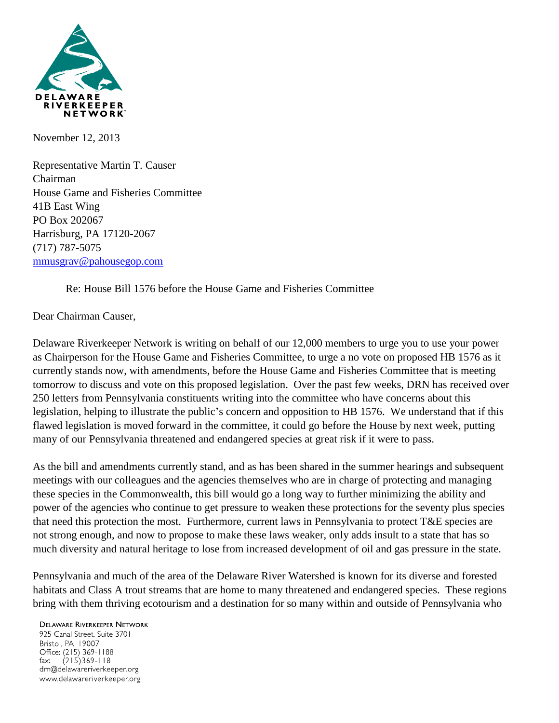

November 12, 2013

Representative Martin T. Causer Chairman House Game and Fisheries Committee 41B East Wing PO Box 202067 Harrisburg, PA 17120-2067 (717) 787-5075 [mmusgrav@pahousegop.com](mailto:mmusgrav@pahousegop.com)

Re: House Bill 1576 before the House Game and Fisheries Committee

## Dear Chairman Causer,

Delaware Riverkeeper Network is writing on behalf of our 12,000 members to urge you to use your power as Chairperson for the House Game and Fisheries Committee, to urge a no vote on proposed HB 1576 as it currently stands now, with amendments, before the House Game and Fisheries Committee that is meeting tomorrow to discuss and vote on this proposed legislation. Over the past few weeks, DRN has received over 250 letters from Pennsylvania constituents writing into the committee who have concerns about this legislation, helping to illustrate the public's concern and opposition to HB 1576. We understand that if this flawed legislation is moved forward in the committee, it could go before the House by next week, putting many of our Pennsylvania threatened and endangered species at great risk if it were to pass.

As the bill and amendments currently stand, and as has been shared in the summer hearings and subsequent meetings with our colleagues and the agencies themselves who are in charge of protecting and managing these species in the Commonwealth, this bill would go a long way to further minimizing the ability and power of the agencies who continue to get pressure to weaken these protections for the seventy plus species that need this protection the most. Furthermore, current laws in Pennsylvania to protect T&E species are not strong enough, and now to propose to make these laws weaker, only adds insult to a state that has so much diversity and natural heritage to lose from increased development of oil and gas pressure in the state.

Pennsylvania and much of the area of the Delaware River Watershed is known for its diverse and forested habitats and Class A trout streams that are home to many threatened and endangered species. These regions bring with them thriving ecotourism and a destination for so many within and outside of Pennsylvania who

## **DELAWARE RIVERKEEPER NETWORK**

925 Canal Street, Suite 3701 Bristol, PA 19007 Office: (215) 369-1188 fax:  $(215)369 - 1181$ drn@delawareriverkeeper.org www.delawareriverkeeper.org